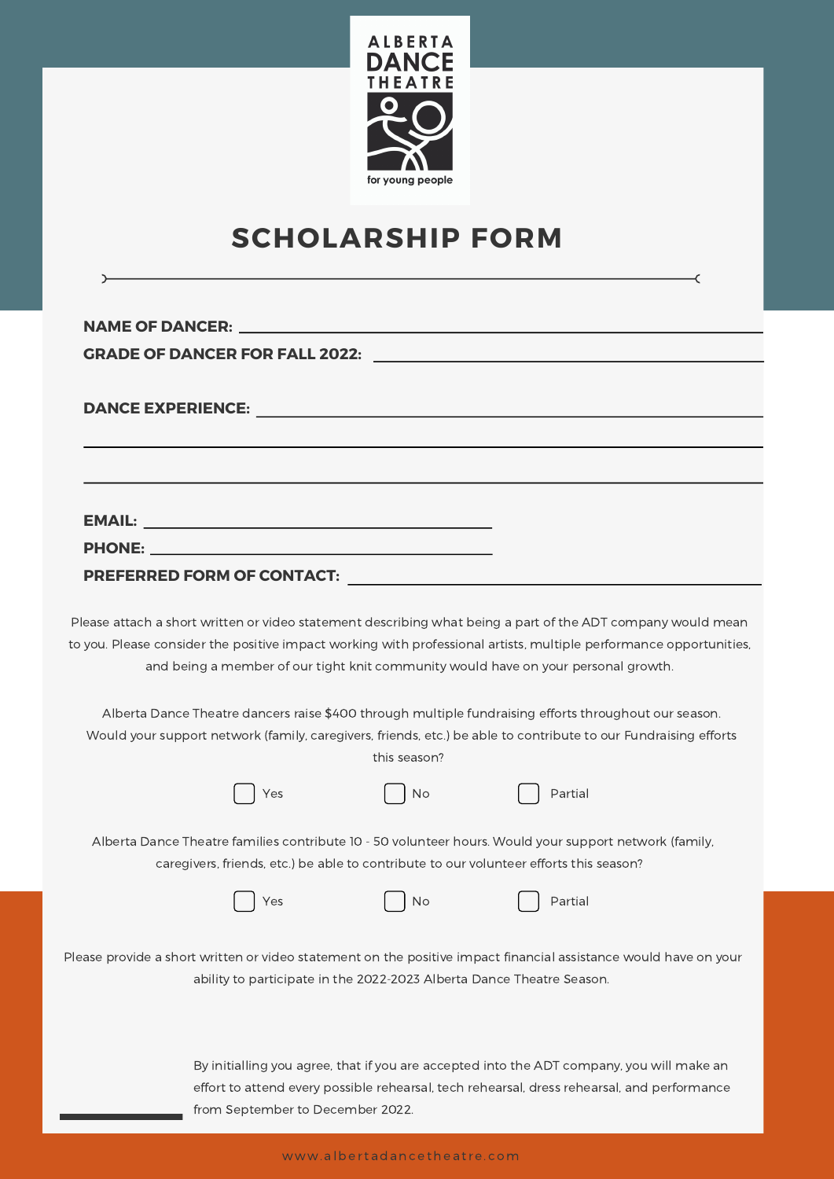

# **SCHOLARSHIP FORM**

 $\rightarrow$ 

 $\prec$ 

| <b>GRADE OF DANCER FOR FALL 2022:</b>                                                                                                                                                                                                                                                                                   |
|-------------------------------------------------------------------------------------------------------------------------------------------------------------------------------------------------------------------------------------------------------------------------------------------------------------------------|
|                                                                                                                                                                                                                                                                                                                         |
|                                                                                                                                                                                                                                                                                                                         |
|                                                                                                                                                                                                                                                                                                                         |
|                                                                                                                                                                                                                                                                                                                         |
| <b>EMAIL:</b><br><u> 1989 - Johann Harry Harry Harry Harry Harry Harry Harry Harry Harry Harry Harry Harry Harry Harry Harry Harry</u>                                                                                                                                                                                  |
| PHONE: New York PHONE And the Contract of the Contract of the Contract of the Contract of the Contract of the Contract of the Contract of the Contract of the Contract of the Contract of the Contract of the Contract of the                                                                                           |
|                                                                                                                                                                                                                                                                                                                         |
| Please attach a short written or video statement describing what being a part of the ADT company would mean<br>to you. Please consider the positive impact working with professional artists, multiple performance opportunities,<br>and being a member of our tight knit community would have on your personal growth. |
| Alberta Dance Theatre dancers raise \$400 through multiple fundraising efforts throughout our season.<br>Would your support network (family, caregivers, friends, etc.) be able to contribute to our Fundraising efforts<br>this season?                                                                                |
| Partial<br>No<br>Yes                                                                                                                                                                                                                                                                                                    |
| Alberta Dance Theatre families contribute 10 - 50 volunteer hours. Would your support network (family,<br>caregivers, friends, etc.) be able to contribute to our volunteer efforts this season?                                                                                                                        |
| Partial<br>Νo<br>Yes                                                                                                                                                                                                                                                                                                    |
| Please provide a short written or video statement on the positive impact financial assistance would have on your<br>ability to participate in the 2022-2023 Alberta Dance Theatre Season.                                                                                                                               |
| By initialling you agree, that if you are accepted into the ADT company, you will make an<br>effort to attend every possible rehearsal, tech rehearsal, dress rehearsal, and performance<br>from September to December 2022.                                                                                            |